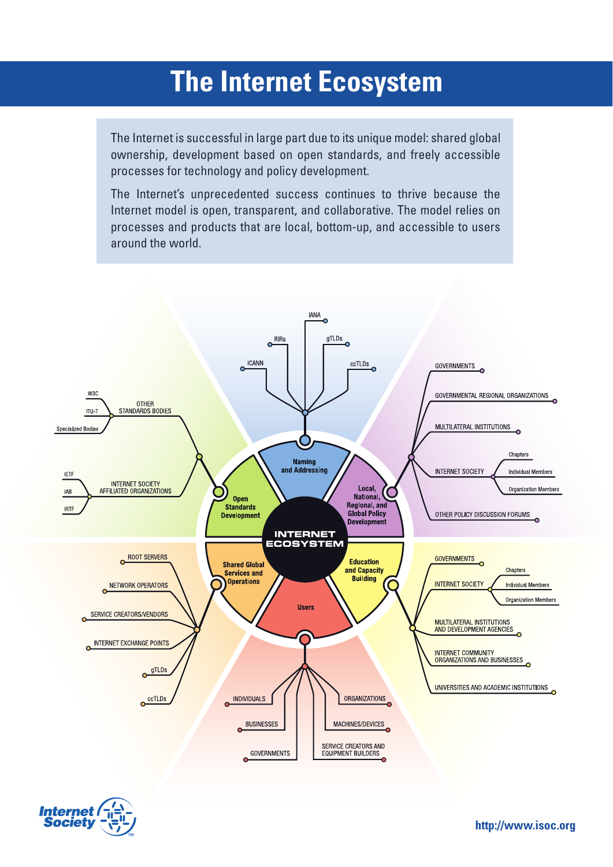## **The Internet Ecosystem**

The Internet is successful in large part due to its unique model: shared global ownership, development based on open standards, and freely accessible processes for technology and policy development.

The Internet's unprecedented success continues to thrive because the Internet model is open, transparent, and collaborative. The model relies on processes and products that are local, bottom-up, and accessible to users around the world.





**http://www.isoc.org**